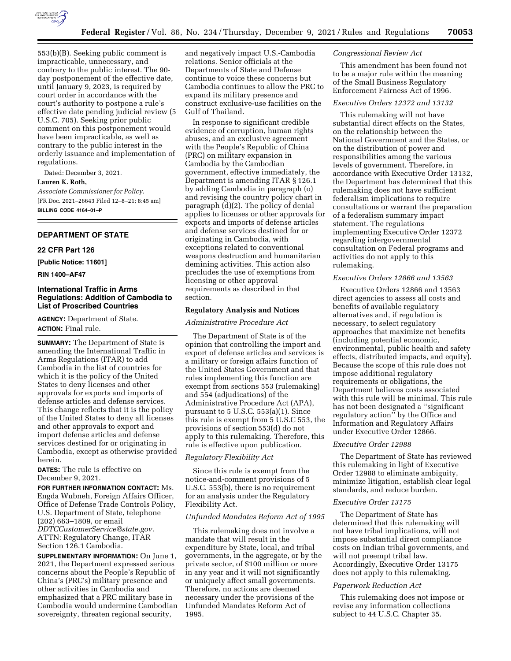

553(b)(B). Seeking public comment is impracticable, unnecessary, and contrary to the public interest. The 90 day postponement of the effective date, until January 9, 2023, is required by court order in accordance with the court's authority to postpone a rule's effective date pending judicial review (5 U.S.C. 705). Seeking prior public comment on this postponement would have been impracticable, as well as contrary to the public interest in the orderly issuance and implementation of regulations.

Dated: December 3, 2021. **Lauren K. Roth,** 

*Associate Commissioner for Policy.*  [FR Doc. 2021–26643 Filed 12–8–21; 8:45 am] **BILLING CODE 4164–01–P** 

### **DEPARTMENT OF STATE**

# **22 CFR Part 126**

**[Public Notice: 11601]** 

### **RIN 1400–AF47**

# **International Traffic in Arms Regulations: Addition of Cambodia to List of Proscribed Countries**

**AGENCY:** Department of State. **ACTION:** Final rule.

**SUMMARY:** The Department of State is amending the International Traffic in Arms Regulations (ITAR) to add Cambodia in the list of countries for which it is the policy of the United States to deny licenses and other approvals for exports and imports of defense articles and defense services. This change reflects that it is the policy of the United States to deny all licenses and other approvals to export and import defense articles and defense services destined for or originating in Cambodia, except as otherwise provided herein.

**DATES:** The rule is effective on December 9, 2021.

**FOR FURTHER INFORMATION CONTACT:** Ms. Engda Wubneh, Foreign Affairs Officer, Office of Defense Trade Controls Policy, U.S. Department of State, telephone (202) 663–1809, or email *[DDTCCustomerService@state.gov.](mailto:DDTCCustomerService@state.gov)*  ATTN: Regulatory Change, ITAR Section 126.1 Cambodia.

**SUPPLEMENTARY INFORMATION:** On June 1, 2021, the Department expressed serious concerns about the People's Republic of China's (PRC's) military presence and other activities in Cambodia and emphasized that a PRC military base in Cambodia would undermine Cambodian sovereignty, threaten regional security,

and negatively impact U.S.-Cambodia relations. Senior officials at the Departments of State and Defense continue to voice these concerns but Cambodia continues to allow the PRC to expand its military presence and construct exclusive-use facilities on the Gulf of Thailand.

In response to significant credible evidence of corruption, human rights abuses, and an exclusive agreement with the People's Republic of China (PRC) on military expansion in Cambodia by the Cambodian government, effective immediately, the Department is amending ITAR § 126.1 by adding Cambodia in paragraph (o) and revising the country policy chart in paragraph (d)(2). The policy of denial applies to licenses or other approvals for exports and imports of defense articles and defense services destined for or originating in Cambodia, with exceptions related to conventional weapons destruction and humanitarian demining activities. This action also precludes the use of exemptions from licensing or other approval requirements as described in that section.

#### **Regulatory Analysis and Notices**

*Administrative Procedure Act* 

The Department of State is of the opinion that controlling the import and export of defense articles and services is a military or foreign affairs function of the United States Government and that rules implementing this function are exempt from sections 553 (rulemaking) and 554 (adjudications) of the Administrative Procedure Act (APA), pursuant to 5 U.S.C. 553(a)(1). Since this rule is exempt from 5 U.S.C 553, the provisions of section 553(d) do not apply to this rulemaking. Therefore, this rule is effective upon publication.

## *Regulatory Flexibility Act*

Since this rule is exempt from the notice-and-comment provisions of 5 U.S.C. 553(b), there is no requirement for an analysis under the Regulatory Flexibility Act.

## *Unfunded Mandates Reform Act of 1995*

This rulemaking does not involve a mandate that will result in the expenditure by State, local, and tribal governments, in the aggregate, or by the private sector, of \$100 million or more in any year and it will not significantly or uniquely affect small governments. Therefore, no actions are deemed necessary under the provisions of the Unfunded Mandates Reform Act of 1995.

## *Congressional Review Act*

This amendment has been found not to be a major rule within the meaning of the Small Business Regulatory Enforcement Fairness Act of 1996.

## *Executive Orders 12372 and 13132*

This rulemaking will not have substantial direct effects on the States, on the relationship between the National Government and the States, or on the distribution of power and responsibilities among the various levels of government. Therefore, in accordance with Executive Order 13132, the Department has determined that this rulemaking does not have sufficient federalism implications to require consultations or warrant the preparation of a federalism summary impact statement. The regulations implementing Executive Order 12372 regarding intergovernmental consultation on Federal programs and activities do not apply to this rulemaking.

## *Executive Orders 12866 and 13563*

Executive Orders 12866 and 13563 direct agencies to assess all costs and benefits of available regulatory alternatives and, if regulation is necessary, to select regulatory approaches that maximize net benefits (including potential economic, environmental, public health and safety effects, distributed impacts, and equity). Because the scope of this rule does not impose additional regulatory requirements or obligations, the Department believes costs associated with this rule will be minimal. This rule has not been designated a ''significant regulatory action'' by the Office and Information and Regulatory Affairs under Executive Order 12866.

#### *Executive Order 12988*

The Department of State has reviewed this rulemaking in light of Executive Order 12988 to eliminate ambiguity, minimize litigation, establish clear legal standards, and reduce burden.

#### *Executive Order 13175*

The Department of State has determined that this rulemaking will not have tribal implications, will not impose substantial direct compliance costs on Indian tribal governments, and will not preempt tribal law. Accordingly, Executive Order 13175 does not apply to this rulemaking.

### *Paperwork Reduction Act*

This rulemaking does not impose or revise any information collections subject to 44 U.S.C. Chapter 35.